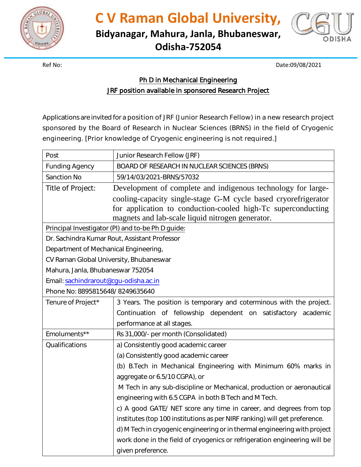

**C V Raman Global University,**

**Bidyanagar, Mahura, Janla, Bhubaneswar, Odisha-752054**



Ref No: Date:09/08/2021

## Ph D in Mechanical Engineering

JRF position available in sponsored Research Project

Applications are invited for a position of JRF (Junior Research Fellow) in a new research project sponsored by the Board of Research in Nuclear Sciences (BRNS) in the field of Cryogenic engineering. [Prior knowledge of Cryogenic engineering is not required.]

| Post                                              | Junior Research Fellow (JRF)                                                                                                                                                       |
|---------------------------------------------------|------------------------------------------------------------------------------------------------------------------------------------------------------------------------------------|
| <b>Funding Agency</b>                             | BOARD OF RESEARCH IN NUCLEAR SCIENCES (BRNS)                                                                                                                                       |
| <b>Sanction No</b>                                | 59/14/03/2021-BRNS/57032                                                                                                                                                           |
| Title of Project:                                 | Development of complete and indigenous technology for large-                                                                                                                       |
|                                                   | cooling-capacity single-stage G-M cycle based cryorefrigerator<br>for application to conduction-cooled high-Tc superconducting<br>magnets and lab-scale liquid nitrogen generator. |
| Principal Investigator (PI) and to-be Ph D guide: |                                                                                                                                                                                    |
| Dr. Sachindra Kumar Rout, Assistant Professor     |                                                                                                                                                                                    |
| Department of Mechanical Engineering,             |                                                                                                                                                                                    |
| CV Raman Global University, Bhubaneswar           |                                                                                                                                                                                    |
| Mahura, Janla, Bhubaneswar 752054                 |                                                                                                                                                                                    |
| Email: sachindrarout@cgu-odisha.ac.in             |                                                                                                                                                                                    |
| Phone No: 8895815648/8249635640                   |                                                                                                                                                                                    |
| Tenure of Project*                                | 3 Years. The position is temporary and coterminous with the project.                                                                                                               |
|                                                   | Continuation of fellowship dependent on satisfactory academic                                                                                                                      |
|                                                   | performance at all stages.                                                                                                                                                         |
| Emoluments**                                      | Rs 31,000/- per month (Consolidated)                                                                                                                                               |
| Qualifications                                    | a) Consistently good academic career                                                                                                                                               |
|                                                   | (a) Consistently good academic career                                                                                                                                              |
|                                                   | (b) B.Tech in Mechanical Engineering with Minimum 60% marks in                                                                                                                     |
|                                                   | aggregate or 6.5/10 CGPA), or                                                                                                                                                      |
|                                                   | M Tech in any sub-discipline or Mechanical, production or aeronautical                                                                                                             |
|                                                   | engineering with 6.5 CGPA in both B Tech and M Tech.                                                                                                                               |
|                                                   | c) A good GATE/ NET score any time in career, and degrees from top                                                                                                                 |
|                                                   | institutes (top 100 institutions as per NIRF ranking) will get preference.                                                                                                         |
|                                                   | d) M Tech in cryogenic engineering or in thermal engineering with project                                                                                                          |
|                                                   | work done in the field of cryogenics or refrigeration engineering will be                                                                                                          |
|                                                   | given preference.                                                                                                                                                                  |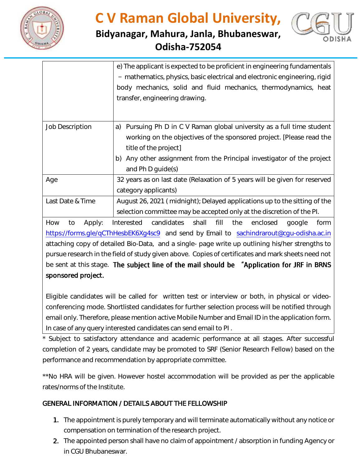

## **C V Raman Global University,**

## **Bidyanagar, Mahura, Janla, Bhubaneswar, Odisha-752054**



|                        | e) The applicant is expected to be proficient in engineering fundamentals<br>- mathematics, physics, basic electrical and electronic engineering, rigid<br>body mechanics, solid and fluid mechanics, thermodynamics, heat<br>transfer, engineering drawing.              |
|------------------------|---------------------------------------------------------------------------------------------------------------------------------------------------------------------------------------------------------------------------------------------------------------------------|
| <b>Job Description</b> | Pursuing Ph D in C V Raman global university as a full time student<br>a)<br>working on the objectives of the sponsored project. [Please read the<br>title of the project]<br>b) Any other assignment from the Principal investigator of the project<br>and Ph D guide(s) |
| Age                    | 32 years as on last date (Relaxation of 5 years will be given for reserved<br>category applicants)                                                                                                                                                                        |
| Last Date & Time       | August 26, 2021 (midnight); Delayed applications up to the sitting of the<br>selection committee may be accepted only at the discretion of the PI.                                                                                                                        |

How to Apply: Interested candidates shall fill the enclosed google form <https://forms.gle/qCThHesbEK6Xg4sc9> and send by Email to [sachindrarout@cgu-odisha.ac.in](mailto:sachindrarout@cgu-odisha.ac.in) attaching copy of detailed Bio-Data, and a single- page write up outlining his/her strengths to pursue research in the field of study given above. Copies of certificates and mark sheets need not be sent at this stage. The subject line of the mail should be "Application for JRF in BRNS sponsored project.

Eligible candidates will be called for written test or interview or both, in physical or videoconferencing mode. Shortlisted candidates for further selection process will be notified through email only. Therefore, please mention active Mobile Number and Email ID in the application form. In case of any query interested candidates can send email to PI .

Subject to satisfactory attendance and academic performance at all stages. After successful completion of 2 years, candidate may be promoted to SRF (Senior Research Fellow) based on the performance and recommendation by appropriate committee.

\*\*No HRA will be given. However hostel accommodation will be provided as per the applicable rates/norms of the Institute.

## GENERAL INFORMATION / DETAILS ABOUT THE FELLOWSHIP

- 1. The appointment is purely temporary and will terminate automatically without any notice or compensation on termination of the research project.
- 2. The appointed person shall have no claim of appointment / absorption in funding Agency or in CGU Bhubaneswar.